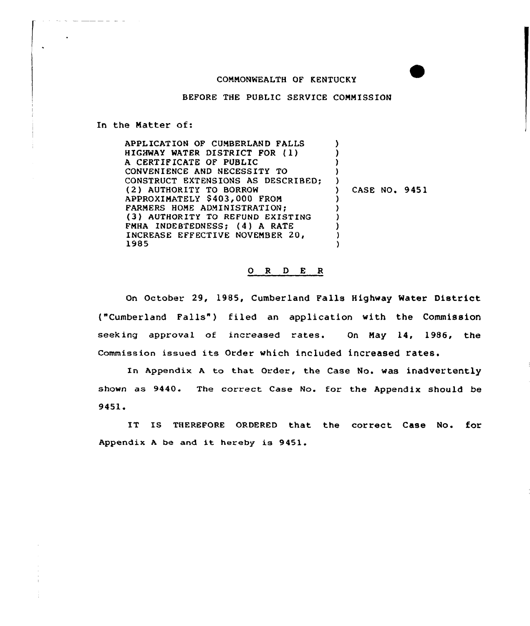## CONNONWEALTH OF KENTUCKY

BEFORE THE PUBLIC SERVICE CONNISSION

In the Natter of:

| HIGHWAY WATER DISTRICT FOR (1)<br>A CERTIFICATE OF PUBLIC<br>CONVENIENCE AND NECESSITY TO<br>CONSTRUCT EXTENSIONS AS DESCRIBED;<br>(2) AUTHORITY TO BORROW<br>CASE NO. 9451<br>APPROXIMATELY \$403,000 FROM<br>FARMERS HOME ADMINISTRATION:<br>(3) AUTHORITY TO REFUND EXISTING<br>FMHA INDEBTEDNESS; (4) A RATE<br>INCREASE EFFECTIVE NOVEMBER 20,<br>1985 | APPLICATION OF CUMBERLAND FALLS |  |  |
|-------------------------------------------------------------------------------------------------------------------------------------------------------------------------------------------------------------------------------------------------------------------------------------------------------------------------------------------------------------|---------------------------------|--|--|
|                                                                                                                                                                                                                                                                                                                                                             |                                 |  |  |
|                                                                                                                                                                                                                                                                                                                                                             |                                 |  |  |
|                                                                                                                                                                                                                                                                                                                                                             |                                 |  |  |
|                                                                                                                                                                                                                                                                                                                                                             |                                 |  |  |
|                                                                                                                                                                                                                                                                                                                                                             |                                 |  |  |
|                                                                                                                                                                                                                                                                                                                                                             |                                 |  |  |
|                                                                                                                                                                                                                                                                                                                                                             |                                 |  |  |
|                                                                                                                                                                                                                                                                                                                                                             |                                 |  |  |
|                                                                                                                                                                                                                                                                                                                                                             |                                 |  |  |
|                                                                                                                                                                                                                                                                                                                                                             |                                 |  |  |
|                                                                                                                                                                                                                                                                                                                                                             |                                 |  |  |

## 0 R <sup>D</sup> E R

On October. 29, 1985, Cumberland Falls Highway Water District ("Cumberland Falls") filed an application with the Commission seek ing approval of increased rates. On Nay 14, 1986, the Commission issued its Order which included increased rates.

In Appendix <sup>A</sup> to that order, the case No. was inadvertently shown as 9440. The correct Case No. for the Appendix should be 9451.

IT IS THEREFORE ORDERED that the correct Case No. for Appendix <sup>A</sup> be and it hereby is 9451.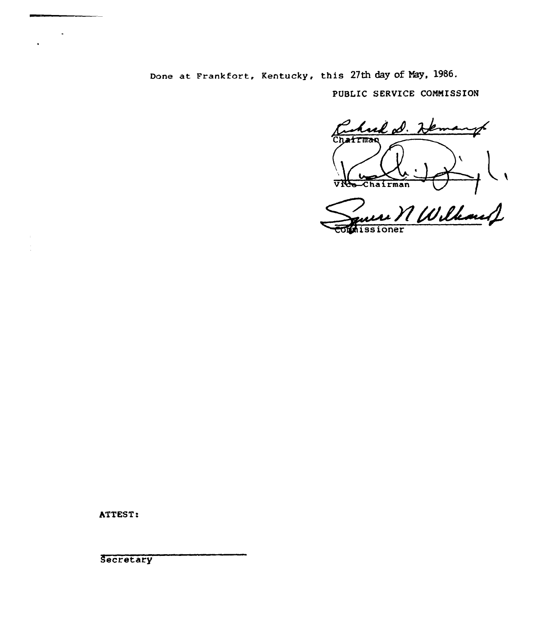Done at Frankfort, Kentucky, this 27th day of May, 1986.

PUBLIC SERVICE COMMISSION

hud D. 2 k. HTMAR **VICe-Chairman** 

All Wilkard cornissioner

ATTEST:

Secretary